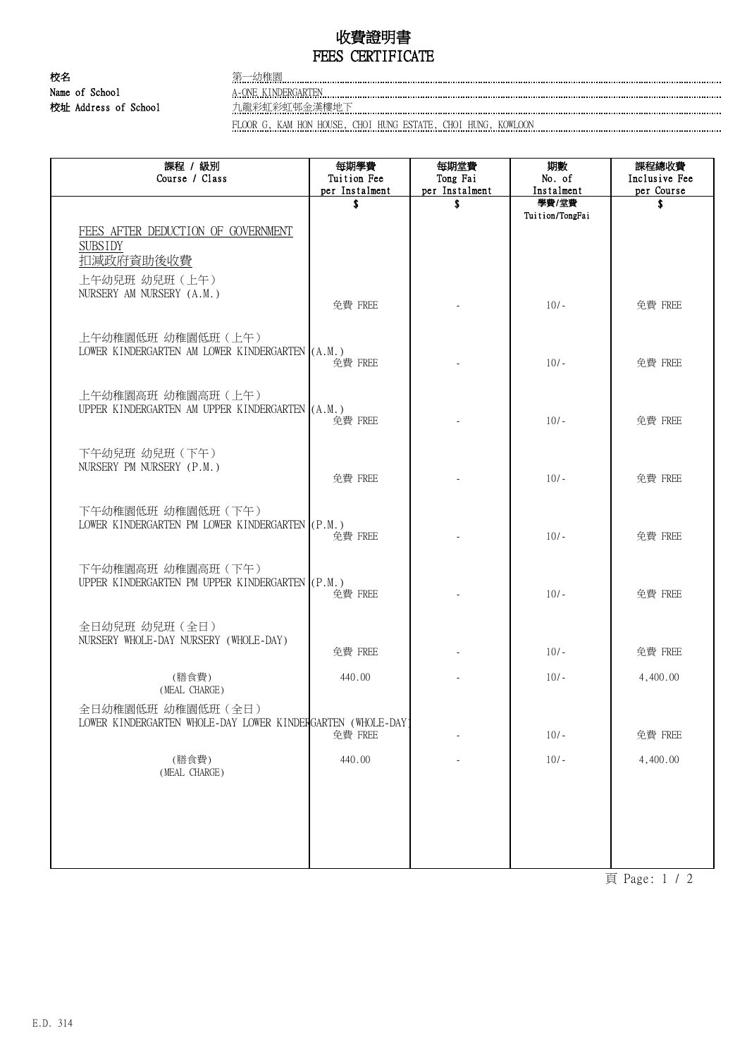## 收費證明書 FEES CERTIFICATE

校名 またま こうしょう 第一幼稚園 Name of School A-ONE KINDERGARTEN 校址 Address of School 九龍彩虹彩虹邨金漢樓地下

FLOOR G, KAM HON HOUSE, CHOI HUNG ESTATE, CHOI HUNG, KOWLOON

| 課程 / 級別<br>Course / Class                                                        | 每期學費<br>Tuition Fee  | 每期堂費<br>Tong Fai     | 期數<br>No. of        | 課程總收費<br>Inclusive Fee |
|----------------------------------------------------------------------------------|----------------------|----------------------|---------------------|------------------------|
|                                                                                  | per Instalment<br>\$ | per Instalment<br>\$ | Instalment<br>學費/堂費 | per Course<br>Ŝ.       |
|                                                                                  |                      |                      | Tuition/TongFai     |                        |
| FEES AFTER DEDUCTION OF GOVERNMENT<br><b>SUBSIDY</b><br>扣減政府資助後收費                |                      |                      |                     |                        |
| 上午幼兒班 幼兒班 (上午)<br>NURSERY AM NURSERY (A.M.)                                      | 免費 FREE              |                      | $10/-$              | 免費 FREE                |
| 上午幼稚園低班 幼稚園低班 (上午)<br>LOWER KINDERGARTEN AM LOWER KINDERGARTEN (A.M.)            | 免費 FREE              |                      | $10/-$              | 免費 FREE                |
| 上午幼稚園高班 幼稚園高班 (上午)<br>UPPER KINDERGARTEN AM UPPER KINDERGARTEN (A.M.)            | 免費 FREE              |                      | $10/-$              | 免費 FREE                |
| 下午幼兒班 幼兒班 (下午)<br>NURSERY PM NURSERY (P.M.)                                      | 免費 FREE              |                      | $10/-$              | 免費 FREE                |
| 下午幼稚園低班 幼稚園低班 (下午)<br>LOWER KINDERGARTEN PM LOWER KINDERGARTEN (P.M.)            | 免費 FREE              |                      | $10/-$              | 免費 FREE                |
| 下午幼稚園高班 幼稚園高班 (下午)<br>UPPER KINDERGARTEN PM UPPER KINDERGARTEN (P.M.)            | 免費 FREE              |                      | $10/-$              | 免費 FREE                |
| 全日幼兒班 幼兒班 (全日)<br>NURSERY WHOLE-DAY NURSERY (WHOLE-DAY)                          | 免費 FREE              |                      | $10/-$              | 免費 FREE                |
| (膳食費)<br>(MEAL CHARGE)                                                           | 440.00               |                      | $10/-$              | 4,400.00               |
| 全日幼稚園低班 幼稚園低班 (全日)<br>LOWER KINDERGARTEN WHOLE-DAY LOWER KINDERGARTEN (WHOLE-DAY | 免費 FREE              |                      | $10/-$              | 免費 FREE                |
| (膳食費)<br>(MEAL CHARGE)                                                           | 440.00               |                      | $10/-$              | 4,400.00               |
|                                                                                  |                      |                      |                     |                        |
|                                                                                  |                      |                      |                     |                        |

頁 Page: 1 / 2